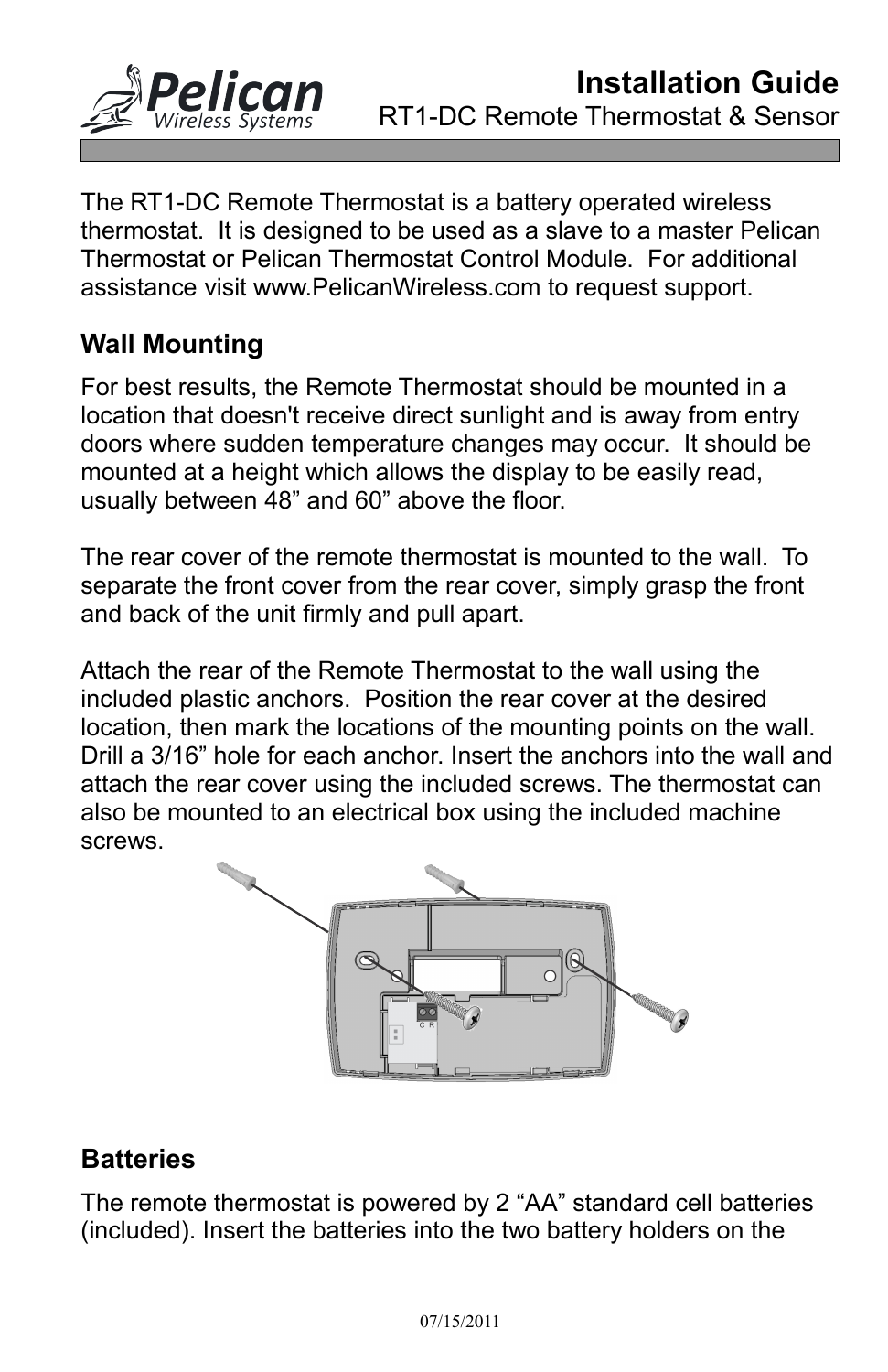

The RT1-DC Remote Thermostat is a battery operated wireless thermostat. It is designed to be used as a slave to a master Pelican Thermostat or Pelican Thermostat Control Module. For additional assistance visit www.PelicanWireless.com to request support.

## **Wall Mounting**

For best results, the Remote Thermostat should be mounted in a location that doesn't receive direct sunlight and is away from entry doors where sudden temperature changes may occur. It should be mounted at a height which allows the display to be easily read, usually between 48" and 60" above the floor.

The rear cover of the remote thermostat is mounted to the wall. To separate the front cover from the rear cover, simply grasp the front and back of the unit firmly and pull apart.

Attach the rear of the Remote Thermostat to the wall using the included plastic anchors. Position the rear cover at the desired location, then mark the locations of the mounting points on the wall. Drill a 3/16" hole for each anchor. Insert the anchors into the wall and attach the rear cover using the included screws. The thermostat can also be mounted to an electrical box using the included machine screws.



## **Batteries**

The remote thermostat is powered by 2 "AA" standard cell batteries (included). Insert the batteries into the two battery holders on the